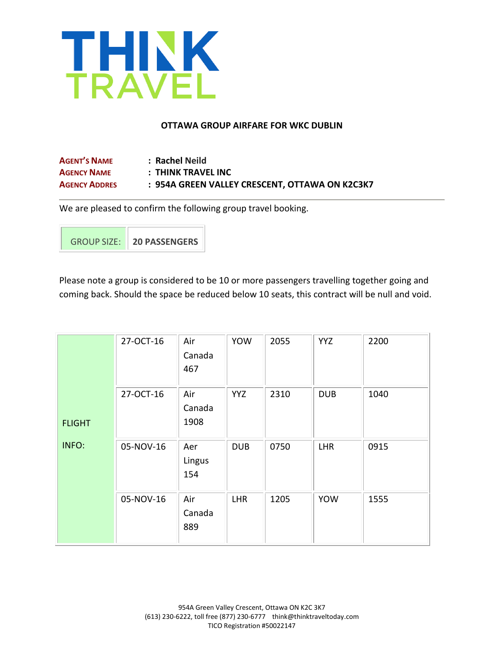

### **OTTAWA GROUP AIRFARE FOR WKC DUBLIN**

| <b>AGENT'S NAME</b>  | : Rachel Neild                                 |
|----------------------|------------------------------------------------|
| <b>AGENCY NAME</b>   | : THINK TRAVEL INC                             |
| <b>AGENCY ADDRES</b> | : 954A GREEN VALLEY CRESCENT, OTTAWA ON K2C3K7 |

We are pleased to confirm the following group travel booking.

GROUP SIZE: **20 PASSENGERS**

Please note a group is considered to be 10 or more passengers travelling together going and coming back. Should the space be reduced below 10 seats, this contract will be null and void.

|               | 27-OCT-16 | Air<br>Canada<br>467  | <b>YOW</b> | 2055 | <b>YYZ</b> | 2200 |
|---------------|-----------|-----------------------|------------|------|------------|------|
| <b>FLIGHT</b> | 27-OCT-16 | Air<br>Canada<br>1908 | <b>YYZ</b> | 2310 | <b>DUB</b> | 1040 |
| INFO:         | 05-NOV-16 | Aer<br>Lingus<br>154  | <b>DUB</b> | 0750 | <b>LHR</b> | 0915 |
|               | 05-NOV-16 | Air<br>Canada<br>889  | <b>LHR</b> | 1205 | <b>YOW</b> | 1555 |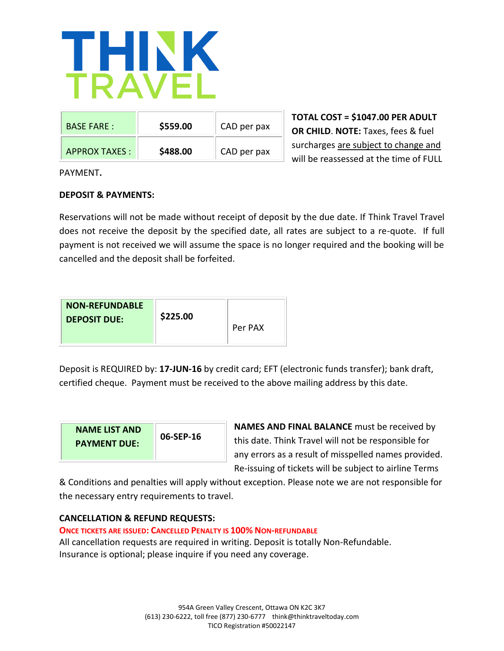

| <b>BASE FARE:</b>    | \$559.00 | CAD per pax |
|----------------------|----------|-------------|
| <b>APPROX TAXES:</b> | \$488.00 | CAD per pax |

**TOTAL COST = \$1047.00 PER ADULT OR CHILD**. **NOTE:** Taxes, fees & fuel surcharges are subject to change and will be reassessed at the time of FULL

PAYMENT**.**

# **DEPOSIT & PAYMENTS:**

Reservations will not be made without receipt of deposit by the due date. If Think Travel Travel does not receive the deposit by the specified date, all rates are subject to a re-quote. If full payment is not received we will assume the space is no longer required and the booking will be cancelled and the deposit shall be forfeited.

| <b>NON-REFUNDABLE</b><br><b>DEPOSIT DUE:</b> | \$225.00 | Per PAX |
|----------------------------------------------|----------|---------|
|----------------------------------------------|----------|---------|

Deposit is REQUIRED by: **17-JUN-16** by credit card; EFT (electronic funds transfer); bank draft, certified cheque. Payment must be received to the above mailing address by this date.

| <b>NAME LIST AND</b><br><b>PAYMENT DUE:</b> | 06-SEP-16 |
|---------------------------------------------|-----------|
|---------------------------------------------|-----------|

**NAMES AND FINAL BALANCE** must be received by this date. Think Travel will not be responsible for any errors as a result of misspelled names provided. Re-issuing of tickets will be subject to airline Terms

& Conditions and penalties will apply without exception. Please note we are not responsible for the necessary entry requirements to travel.

## **CANCELLATION & REFUND REQUESTS:**

## **ONCE TICKETS ARE ISSUED: CANCELLED PENALTY IS 100% NON-REFUNDABLE**

All cancellation requests are required in writing. Deposit is totally Non-Refundable. Insurance is optional; please inquire if you need any coverage.